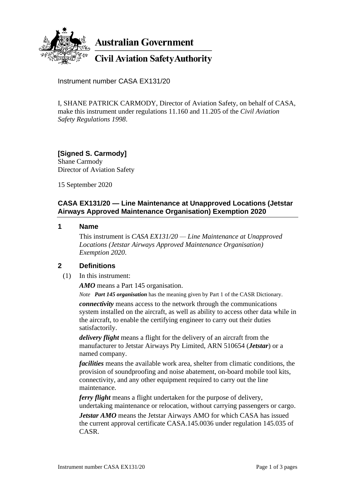

**Australian Government** 

**Civil Aviation Safety Authority** 

Instrument number CASA EX131/20

I, SHANE PATRICK CARMODY, Director of Aviation Safety, on behalf of CASA, make this instrument under regulations 11.160 and 11.205 of the *Civil Aviation Safety Regulations 1998*.

### **[Signed S. Carmody]** Shane Carmody Director of Aviation Safety

15 September 2020

# **CASA EX131/20 — Line Maintenance at Unapproved Locations (Jetstar Airways Approved Maintenance Organisation) Exemption 2020**

### **1 Name**

This instrument is *CASA EX131/20 — Line Maintenance at Unapproved Locations (Jetstar Airways Approved Maintenance Organisation) Exemption 2020*.

# **2 Definitions**

(1) In this instrument:

*AMO* means a Part 145 organisation.

*Note Part 145 organisation* has the meaning given by Part 1 of the CASR Dictionary.

*connectivity* means access to the network through the communications system installed on the aircraft, as well as ability to access other data while in the aircraft, to enable the certifying engineer to carry out their duties satisfactorily.

*delivery flight* means a flight for the delivery of an aircraft from the manufacturer to Jetstar Airways Pty Limited, ARN 510654 (*Jetstar*) or a named company.

*facilities* means the available work area, shelter from climatic conditions, the provision of soundproofing and noise abatement, on-board mobile tool kits, connectivity, and any other equipment required to carry out the line maintenance.

*ferry flight* means a flight undertaken for the purpose of delivery, undertaking maintenance or relocation, without carrying passengers or cargo.

*Jetstar AMO* means the Jetstar Airways AMO for which CASA has issued the current approval certificate CASA.145.0036 under regulation 145.035 of CASR.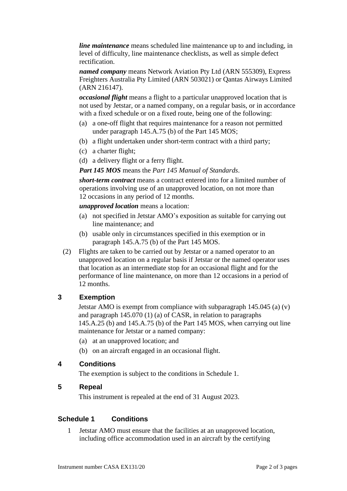*line maintenance* means scheduled line maintenance up to and including, in level of difficulty, line maintenance checklists, as well as simple defect rectification.

*named company* means Network Aviation Pty Ltd (ARN 555309), Express Freighters Australia Pty Limited (ARN 503021) or Qantas Airways Limited (ARN 216147).

*occasional flight* means a flight to a particular unapproved location that is not used by Jetstar, or a named company, on a regular basis, or in accordance with a fixed schedule or on a fixed route, being one of the following:

- (a) a one-off flight that requires maintenance for a reason not permitted under paragraph 145.A.75 (b) of the Part 145 MOS;
- (b) a flight undertaken under short-term contract with a third party;
- (c) a charter flight;
- (d) a delivery flight or a ferry flight.

#### *Part 145 MOS* means the *Part 145 Manual of Standards*.

*short-term contract* means a contract entered into for a limited number of operations involving use of an unapproved location, on not more than 12 occasions in any period of 12 months.

*unapproved location* means a location:

- (a) not specified in Jetstar AMO's exposition as suitable for carrying out line maintenance; and
- (b) usable only in circumstances specified in this exemption or in paragraph 145.A.75 (b) of the Part 145 MOS.
- (2) Flights are taken to be carried out by Jetstar or a named operator to an unapproved location on a regular basis if Jetstar or the named operator uses that location as an intermediate stop for an occasional flight and for the performance of line maintenance, on more than 12 occasions in a period of 12 months.

# **3 Exemption**

Jetstar AMO is exempt from compliance with subparagraph 145.045 (a) (v) and paragraph 145.070 (1) (a) of CASR, in relation to paragraphs 145.A.25 (b) and 145.A.75 (b) of the Part 145 MOS, when carrying out line maintenance for Jetstar or a named company:

- (a) at an unapproved location; and
- (b) on an aircraft engaged in an occasional flight.

# **4 Conditions**

The exemption is subject to the conditions in Schedule 1.

### **5 Repeal**

This instrument is repealed at the end of 31 August 2023.

# **Schedule 1 Conditions**

1 Jetstar AMO must ensure that the facilities at an unapproved location, including office accommodation used in an aircraft by the certifying